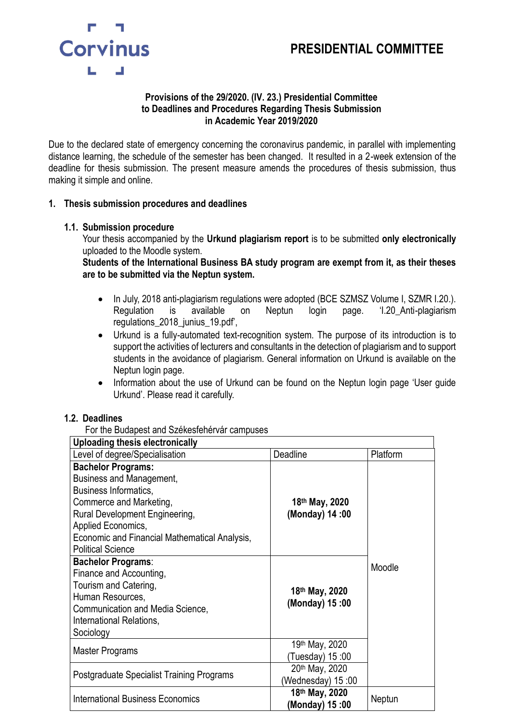# **PRESIDENTIAL COMMITTEE**



#### **Provisions of the 29/2020. (IV. 23.) Presidential Committee to Deadlines and Procedures Regarding Thesis Submission in Academic Year 2019/2020**

Due to the declared state of emergency concerning the coronavirus pandemic, in parallel with implementing distance learning, the schedule of the semester has been changed. It resulted in a 2-week extension of the deadline for thesis submission. The present measure amends the procedures of thesis submission, thus making it simple and online.

#### **1. Thesis submission procedures and deadlines**

#### **1.1. Submission procedure**

Your thesis accompanied by the **Urkund plagiarism report** is to be submitted **only electronically** uploaded to the Moodle system.

**Students of the International Business BA study program are exempt from it, as their theses are to be submitted via the Neptun system.** 

- In July, 2018 anti-plagiarism regulations were adopted (BCE SZMSZ Volume I, SZMR I.20.). Regulation is available on Neptun login page. 'I.20\_Anti-plagiarism regulations\_2018\_junius\_19.pdf',
- Urkund is a fully-automated text-recognition system. The purpose of its introduction is to support the activities of lecturers and consultants in the detection of plagiarism and to support students in the avoidance of plagiarism. General information on Urkund is available on the Neptun login page.
- Information about the use of Urkund can be found on the Neptun login page 'User guide Urkund'. Please read it carefully.

#### **1.2. Deadlines**

For the Budapest and Székesfehérvár campuses

| Uploading thesis electronically                                                                                                                                                                                                                              |                                              |          |  |
|--------------------------------------------------------------------------------------------------------------------------------------------------------------------------------------------------------------------------------------------------------------|----------------------------------------------|----------|--|
| Level of degree/Specialisation                                                                                                                                                                                                                               | Deadline                                     | Platform |  |
| <b>Bachelor Programs:</b><br><b>Business and Management,</b><br><b>Business Informatics,</b><br>Commerce and Marketing,<br>Rural Development Engineering,<br>Applied Economics,<br>Economic and Financial Mathematical Analysis,<br><b>Political Science</b> | 18 <sup>th</sup> May, 2020<br>(Monday) 14:00 |          |  |
| <b>Bachelor Programs:</b><br>Finance and Accounting,<br>Tourism and Catering,<br>Human Resources,<br>Communication and Media Science,<br>International Relations,<br>Sociology                                                                               | 18th May, 2020<br>(Monday) 15:00             | Moodle   |  |
| Master Programs                                                                                                                                                                                                                                              | 19th May, 2020<br>(Tuesday) 15:00            |          |  |
| Postgraduate Specialist Training Programs                                                                                                                                                                                                                    | 20th May, 2020<br>(Wednesday) 15:00          |          |  |
| <b>International Business Economics</b>                                                                                                                                                                                                                      | 18th May, 2020<br>00: 15 (Monday)            | Neptun   |  |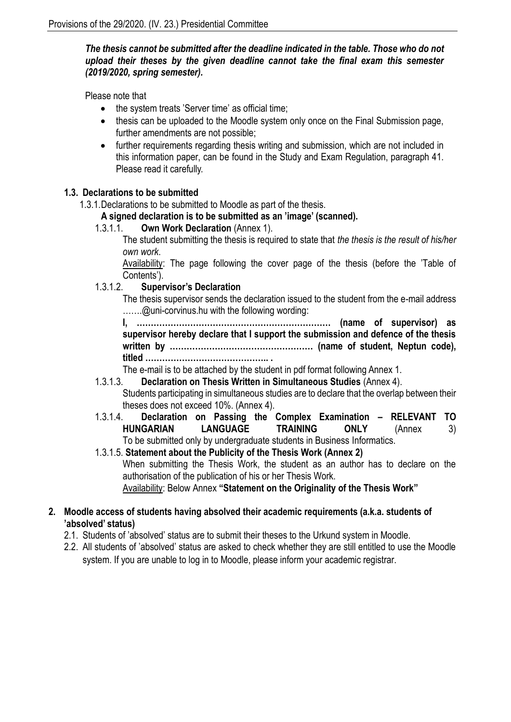## *The thesis cannot be submitted after the deadline indicated in the table. Those who do not upload their theses by the given deadline cannot take the final exam this semester (2019/2020, spring semester).*

Please note that

- the system treats 'Server time' as official time:
- thesis can be uploaded to the Moodle system only once on the Final Submission page, further amendments are not possible;
- further requirements regarding thesis writing and submission, which are not included in this information paper, can be found in the Study and Exam Regulation, paragraph 41. Please read it carefully.

# **1.3. Declarations to be submitted**

1.3.1.Declarations to be submitted to Moodle as part of the thesis.

# **A signed declaration is to be submitted as an 'image' (scanned).**

1.3.1.1. **Own Work Declaration** [\(Annex](http://www.uni-corvinus.hu/fileadmin/user_upload/hu/gazdalkodastudomanyi_kar/files/Hallgatoi_info/Szakdolgozat/2017/szakdolgozat_I_sz_melleklet_2016172.docx) 1).

The student submitting the thesis is required to state that *the thesis is the result of his/her own work*.

Availability: The page following the cover page of the thesis (before the 'Table of Contents').

#### 1.3.1.2. **Supervisor's Declaration**

The thesis supervisor sends the declaration issued to the student from the e-mail address …….@uni-corvinus.hu with the following wording:

**I, …………………………………………………………… (name of supervisor) as supervisor hereby declare that I support the submission and defence of the thesis written by …………………………………………… (name of student, Neptun code), titled …………………………………….. .**

The e-mail is to be attached by the student in pdf format following Annex 1.

- 1.3.1.3. **Declaration on Thesis Written in Simultaneous Studies** (Annex 4). Students participating in simultaneous studies are to declare that the overlap between their theses does not exceed 10%. (Annex 4).
- 1.3.1.4. **Declaration on Passing the Complex Examination – RELEVANT TO HUNGARIAN LANGUAGE TRAINING ONLY** (Annex 3) To be submitted only by undergraduate students in Business Informatics.
- 1.3.1.5. **Statement about the Publicity of the Thesis Work (Annex 2)**  When submitting the Thesis Work, the student as an author has to declare on the authorisation of the publication of his or her Thesis Work. Availability: Below Annex **"Statement on the Originality of the Thesis Work"**

# **2. Moodle access of students having absolved their academic requirements (a.k.a. students of 'absolved' status)**

- 2.1. Students of 'absolved' status are to submit their theses to the Urkund system in Moodle.
- 2.2. All students of 'absolved' status are asked to check whether they are still entitled to use the Moodle system. If you are unable to log in to Moodle, please inform your academic registrar.